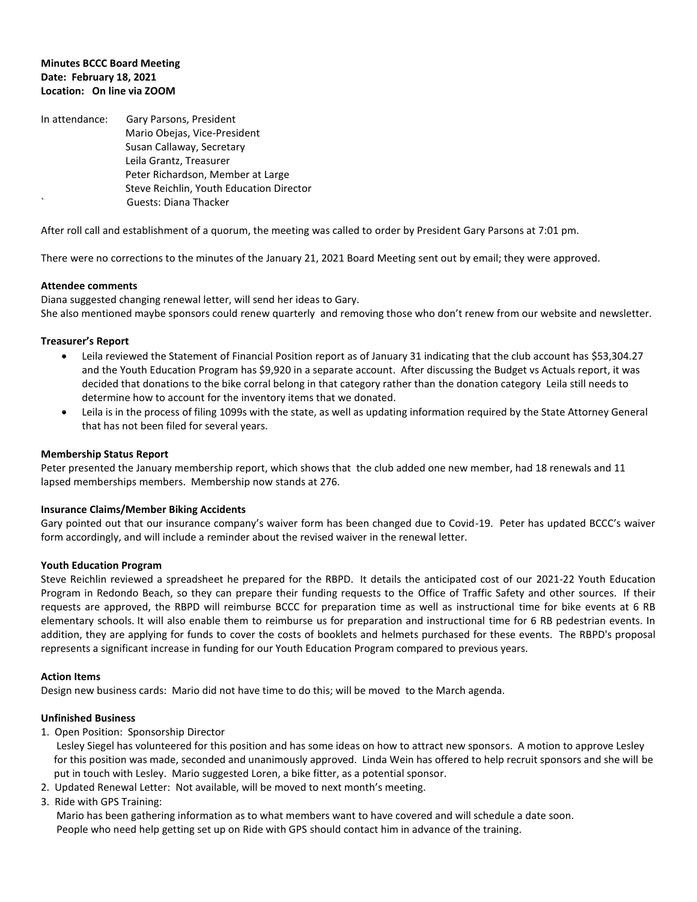# **Minutes BCCC Board Meeting Date: February 18, 2021 Location: On line via ZOOM**

In attendance: Gary Parsons, President Mario Obejas, Vice-President Susan Callaway, Secretary Leila Grantz, Treasurer Peter Richardson, Member at Large Steve Reichlin, Youth Education Director ` Guests: Diana Thacker

After roll call and establishment of a quorum, the meeting was called to order by President Gary Parsons at 7:01 pm.

There were no corrections to the minutes of the January 21, 2021 Board Meeting sent out by email; they were approved.

#### **Attendee comments**

Diana suggested changing renewal letter, will send her ideas to Gary. She also mentioned maybe sponsors could renew quarterly and removing those who don't renew from our website and newsletter.

### **Treasurer's Report**

- Leila reviewed the Statement of Financial Position report as of January 31 indicating that the club account has \$53,304.27 and the Youth Education Program has \$9,920 in a separate account. After discussing the Budget vs Actuals report, it was decided that donations to the bike corral belong in that category rather than the donation category Leila still needs to determine how to account for the inventory items that we donated.
- Leila is in the process of filing 1099s with the state, as well as updating information required by the State Attorney General that has not been filed for several years.

### **Membership Status Report**

Peter presented the January membership report, which shows that the club added one new member, had 18 renewals and 11 lapsed memberships members. Membership now stands at 276.

#### **Insurance Claims/Member Biking Accidents**

Gary pointed out that our insurance company's waiver form has been changed due to Covid-19. Peter has updated BCCC's waiver form accordingly, and will include a reminder about the revised waiver in the renewal letter.

#### **Youth Education Program**

Steve Reichlin reviewed a spreadsheet he prepared for the RBPD. It details the anticipated cost of our 2021-22 Youth Education Program in Redondo Beach, so they can prepare their funding requests to the Office of Traffic Safety and other sources. If their requests are approved, the RBPD will reimburse BCCC for preparation time as well as instructional time for bike events at 6 RB elementary schools. It will also enable them to reimburse us for preparation and instructional time for 6 RB pedestrian events. In addition, they are applying for funds to cover the costs of booklets and helmets purchased for these events. The RBPD's proposal represents a significant increase in funding for our Youth Education Program compared to previous years.

#### **Action Items**

Design new business cards: Mario did not have time to do this; will be moved to the March agenda.

#### **Unfinished Business**

1. Open Position: Sponsorship Director

 Lesley Siegel has volunteered for this position and has some ideas on how to attract new sponsors. A motion to approve Lesley for this position was made, seconded and unanimously approved. Linda Wein has offered to help recruit sponsors and she will be put in touch with Lesley. Mario suggested Loren, a bike fitter, as a potential sponsor.

- 2. Updated Renewal Letter: Not available, will be moved to next month's meeting.
- 3. Ride with GPS Training:

 Mario has been gathering information as to what members want to have covered and will schedule a date soon. People who need help getting set up on Ride with GPS should contact him in advance of the training.